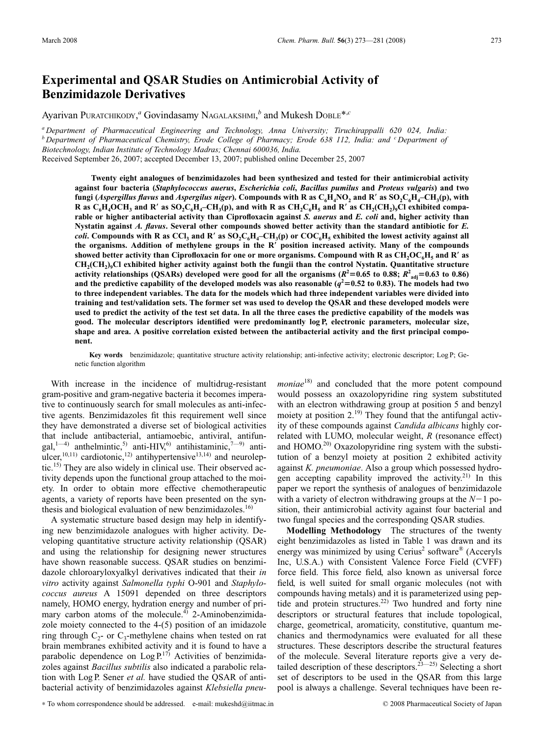## **Experimental and QSAR Studies on Antimicrobial Activity of Benzimidazole Derivatives**

Ayarivan PURATCHIKODY,<sup>*a*</sup> Govindasamy NAGALAKSHMI,<sup>*b*</sup> and Mukesh DOBLE<sup>\*,*c*</sup>

*<sup>a</sup> Department of Pharmaceutical Engineering and Technology, Anna University; Tiruchirappalli 620 024, India: <sup>b</sup> Department of Pharmaceutical Chemistry, Erode College of Pharmacy; Erode 638 112, India: and <sup>c</sup> Department of Biotechnology, Indian Institute of Technology Madras; Chennai 600036, India.* Received September 26, 2007; accepted December 13, 2007; published online December 25, 2007

**Twenty eight analogues of benzimidazoles had been synthesized and tested for their antimicrobial activity against four bacteria (***Staphylococcus auerus***,** *Escherichia coli***,** *Bacillus pumilus* **and** *Proteus vulgaris***) and two fungi** (*Aspergillus flavus* and *Aspergilus niger*). Compounds with R as  $C_6H_4NO_2$  and R' as  $SO_2C_6H_4-CH_3(p)$ , with **R** as  $C_6H_4OCH_3$  and R' as  $SO_2C_6H_4$ –CH<sub>3</sub>(p), and with R as  $CH_2C_6H_5$  and R' as  $CH_2(CH_2)_9Cl$  exhibited compa**rable or higher antibacterial activity than Ciprofloxacin against** *S. auerus* **and** *E. coli* **and, higher activity than Nystatin against** *A. flavus***. Several other compounds showed better activity than the standard antibiotic for** *E. coli***.** Compounds with R as CCl<sub>3</sub> and R' as  $SO_2C_6H_4$ –CH<sub>3</sub>(p) or  $COC_6H_5$  exhibited the lowest activity against all **the organisms. Addition of methylene groups in the R position increased activity. Many of the compounds** showed better activity than Ciprofloxacin for one or more organisms. Compound with R as  $CH_2O\text{C}_6\text{H}_5$  and R' as **CH2(CH2)9Cl exhibited higher activity against both the fungii than the control Nystatin. Quantitative structure** activity relationships (QSARs) developed were good for all the organisms ( $R^2$ =0.65 to 0.88;  $R^2_{\text{adj}}$ =0.63 to 0.86) and the predictive capability of the developed models was also reasonable  $(q^2=0.52$  to 0.83). The models had two **to three independent variables. The data for the models which had three independent variables were divided into training and test/validation sets. The former set was used to develop the QSAR and these developed models were used to predict the activity of the test set data. In all the three cases the predictive capability of the models was good. The molecular descriptors identified were predominantly log P, electronic parameters, molecular size, shape and area. A positive correlation existed between the antibacterial activity and the first principal component.**

**Key words** benzimidazole; quantitative structure activity relationship; anti-infective activity; electronic descriptor; Log P; Genetic function algorithm

With increase in the incidence of multidrug-resistant gram-positive and gram-negative bacteria it becomes imperative to continuously search for small molecules as anti-infective agents. Benzimidazoles fit this requirement well since they have demonstrated a diverse set of biological activities that include antibacterial, antiamoebic, antiviral, antifungal,<sup>1—4)</sup> anthelmintic,<sup>5)</sup> anti-HIV,<sup>6)</sup> antihistaminic,<sup>7—9)</sup> antiulcer,<sup>10,11)</sup> cardiotonic,<sup>12)</sup> antihypertensive<sup>13,14)</sup> and neuroleptic.15) They are also widely in clinical use. Their observed activity depends upon the functional group attached to the moiety. In order to obtain more effective chemotherapeutic agents, a variety of reports have been presented on the synthesis and biological evaluation of new benzimidazoles. $16$ )

A systematic structure based design may help in identifying new benzimidazole analogues with higher activity. Developing quantitative structure activity relationship (QSAR) and using the relationship for designing newer structures have shown reasonable success. QSAR studies on benzimidazole chloroaryloxyalkyl derivatives indicated that their *in vitro* activity against *Salmonella typhi* O-901 and *Staphylococcus aureus* A 15091 depended on three descriptors namely, HOMO energy, hydration energy and number of primary carbon atoms of the molecule. $4^{\circ}$  2-Aminobenzimidazole moiety connected to the 4-(5) position of an imidazole ring through  $C_2$ - or  $C_3$ -methylene chains when tested on rat brain membranes exhibited activity and it is found to have a parabolic dependence on  $\text{Log } P^{17)}$  Activities of benzimidazoles against *Bacillus subtilis* also indicated a parabolic relation with Log P. Sener *et al.* have studied the QSAR of antibacterial activity of benzimidazoles against *Klebsiella pneu-* *moniae*18) and concluded that the more potent compound would possess an oxazolopyridine ring system substituted with an electron withdrawing group at position 5 and benzyl moiety at position  $2^{19}$ . They found that the antifungal activity of these compounds against *Candida albicans* highly correlated with LUMO, molecular weight, *R* (resonance effect) and  $HOMO<sup>20</sup>$  Oxazolopyridine ring system with the substitution of a benzyl moiety at position 2 exhibited activity against *K. pneumoniae*. Also a group which possessed hydrogen accepting capability improved the activity.<sup>21)</sup> In this paper we report the synthesis of analogues of benzimidazole with a variety of electron withdrawing groups at the  $N-1$  position, their antimicrobial activity against four bacterial and two fungal species and the corresponding QSAR studies.

**Modelling Methodology** The structures of the twenty eight benzimidazoles as listed in Table 1 was drawn and its energy was minimized by using  $Cerius<sup>2</sup>$  software<sup>®</sup> (Acceryls Inc, U.S.A.) with Consistent Valence Force Field (CVFF) force field. This force field, also known as universal force field, is well suited for small organic molecules (not with compounds having metals) and it is parameterized using peptide and protein structures.<sup>22)</sup> Two hundred and forty nine descriptors or structural features that include topological, charge, geometrical, aromaticity, constitutive, quantum mechanics and thermodynamics were evaluated for all these structures. These descriptors describe the structural features of the molecule. Several literature reports give a very detailed description of these descriptors.<sup>23—25)</sup> Selecting a short set of descriptors to be used in the QSAR from this large pool is always a challenge. Several techniques have been re-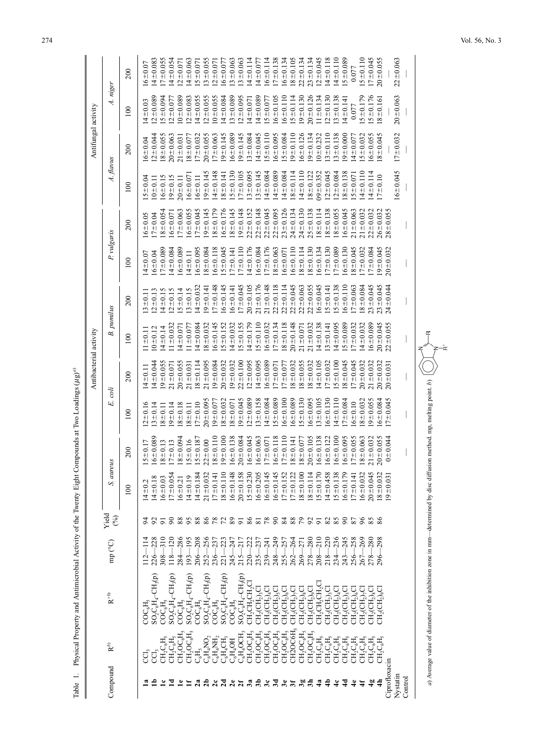|                         |                                         |                                               |                                   |                 |                |               |                | Antibacterial activity  |                   |                |               |                |                | Antifungal activity |                |                |
|-------------------------|-----------------------------------------|-----------------------------------------------|-----------------------------------|-----------------|----------------|---------------|----------------|-------------------------|-------------------|----------------|---------------|----------------|----------------|---------------------|----------------|----------------|
| Compound                | $R^b$                                   | $\mathbf{R}^{\prime\,b)}$                     | mp (°C)                           | Yield<br>(96)   | S. aureus      |               | E. coli        |                         | <b>B.</b> pumilus |                | P. vulgaris   |                | A. flavus      |                     | A. niger       |                |
|                         |                                         |                                               |                                   |                 | 100            | 200           | 100            | 200                     | 100               | 200            | 100           | 200            | 100            | 200                 | 100            | 200            |
|                         |                                         | <b>COC<sub>6</sub>H</b>                       |                                   |                 | $4 + 0.2$      | $5 \pm 0.17$  | $2 + 0.16$     | $14 \pm 0.11$           | $11 \pm 0.11$     | $3 + 0.1$      | $14 \pm 0.07$ | $16 - 0.05$    | $5 = 0.04$     | $16 \pm 0.04$       | $14 \pm 0.03$  | $6 - 0.07$     |
|                         | ğ                                       | $SO_2C_6H_4-CH_3(p)$                          | 228<br>226                        | $\frac{2}{9}$   | $4 + 0.18$     | $6 + 0.089$   | $.3 \pm 0.14$  | $\frac{4 \pm 0.044}{4}$ | $10 + 0.12$       | $2 + 0.13$     | $16 \pm 0.04$ | $17 + 0.04$    | $0 + 0.1$      | $12 \pm 0.044$      | $2 + 0.089$    | 40.083         |
|                         | $\mathrm{CH_{2}C_{6}H_{5}}$             | $\mathrm{COC}_6\mathrm{H}_1$                  | $\frac{310}{2}$<br>308            |                 | $6 + 0.03$     | $8 + 0.13$    | $8 + 0.1$      | $9 + 0.055$             | $4 \pm 0.14$      | $4 + 0.15$     | $17 + 0.089$  | $8 + 0.054$    | $6 + 0.15$     | $18 + 0.055$        | $5 - 0.094$    | $7 + 0.055$    |
|                         | $CH_2C_6H_5$                            | $SO_2C_6H_4-CH_3(p)$                          | $\overline{20}$<br>$\frac{8}{18}$ | $\infty$        | $17 \pm 0.054$ | $17 + 0.13$   | $9 + 0.14$     | $21 \pm 0.071$          | $1 \pm 0.032$     | $2 + 0.15$     | $14\pm0.084$  | $6 + 0.07$     | $9 + 0.15$     | $20 + 0.063$        | $2 + 0.077$    | $4 \pm 0.054$  |
|                         | $CH_2OC_6H_5$                           | $\mathrm{COC}_6\mathrm{H}$                    | 286<br>284                        | 88              | $16 + 0.21$    | $8 + 0.094$   | $8 + 0.18$     | $20 + 0.055$            | $4 + 0.07$        | $5 = 0.14$     | $6 + 0.089$   | $17 + 0.063$   | $20 + 0.11$    | $21 \pm 0.031$      | $-0.089$       | $2 + 0.07$     |
| ≒                       | $CH_2OC_6H$                             | $\mathrm{CH_{3}(p)}$<br>$SO_2C_6H_4-$         | $\frac{5}{6}$<br>193              | 38              | $14 + 0.19$    | $5 + 0.16$    | $8 + 0.11$     | $21 \pm 0.031$          | $1 \pm 0.077$     | $3 + 0.15$     | $14 + 0.11$   | $6 + 0.055$    | $16 + 0.07$    | $18 + 0.077$        | $12 + 0.083$   | $4 + 0.063$    |
| 2a                      | $\mathrm{C_{6}H_{5}}$                   | $\mathrm{COC}_6\mathrm{H}$ .                  | 208<br>206                        |                 | $14\pm0.184$   | $5 + 0.187$   | $17 + 0.10$    | $8 + 0.114$             | $4\pm0.084$       | $4 + 0.032$    | $16 + 0.095$  | $17 + 0.045$   | $6 + 0.11$     | $17 + 0.032$        | $14 \pm 0.055$ | $5 + 0.07$     |
| $rac{2}{2}$             | $\mathbf{C}_6\mathbf{H}_4\mathbf{NO}_2$ | $SO_2C_6H_4-CH_3(p)$                          | 256<br>252                        |                 | $21 + 0.032$   | $2 + 0.00$    | $20 + 0.095$   | $21 \pm 0.095$          | $8 + 0.032$       | $9 + 0.141$    | $8 + 0.084$   | $9 + 0.145$    | $9 + 0.145$    | $20 + 0.055$        | $12 + 0.055$   | $3 + 0.055$    |
|                         | $\mathrm{C_6H_4NH_2}$                   | $\mathrm{COC}_6\mathrm{H}_2$                  | 237<br>236                        | 882             | $17 + 0.14$    | $8 + 0.110$   | $9 + 0.07$     | $9 + 0.084$             | $16 \pm 0.145$    | $7 + 0.148$    | $16 + 0.118$  | $8 + 0.179$    | $4 + 0.148$    | $17 + 0.063$        | $10+0.055$     | $2 + 0.07$     |
| 7 <sub>0</sub>          | $C_6H_4CH_3$                            | CH,(p)<br>$SO_2C_6H_4-$                       | 23<br>221                         |                 | $8 + 0.110$    | $9 + 0.100$   | $8 + 0.032$    | $20 + 0.032$            | $.5 + 0.152$      | $6 + 0.145$    | $15 + 0.045$  | $16 + 0.176$   | $8 + 0.141$    | $9 + 0.145$         | $14 \pm 0.084$ | $6 - 0.07$     |
|                         | $C_6H_4OH$                              | $\mathrm{COC}_6\mathrm{H}_2$                  | 247<br>245                        | 89              | $16 - 0.148$   | $6 + 0.138$   | $8 + 0.071$    | $9 + 0.032$             | $14 + 0.032$      | $6 + 0.141$    | $[7 + 0.14]$  | $18 + 0.145$   | $5 + 0.130$    | $16 + 0.089$        | $13 + 0.089$   | $13 + 0.063$   |
| $\overline{\mathbf{z}}$ | $C_6H_4OCH$                             | $SO_2C_6H_4-CH_3(p)$                          | 217<br>215                        | $\overline{5}$  | $20 + 0.158$   | $.0 + 0.084$  | $9 + 0.045$    | $22 + 0.100$            | $5 + 0.155$       | $7 + 0.045$    | $7 + 0.110$   | $19 + 0.148$   | $17 + 0.105$   | $9 + 0.145$         | $12 + 0.095$   | $13 + 0.063$   |
| 3a                      | $CH_2OCH_5$                             | $CH_2CH_2CH_2C$                               | 222<br>220                        | 86              | $15 + 0.23$    | $6 + 0.045$   | $2 + 0.089$    | $2 + 0.095$             | $14 + 0.179$      | $20 + 0.105$   | $14 + 0.176$  | $22 + 0.152$   | $13 + 0.095$   | $.3 - 0.084$        | $14 \pm 0.071$ | $14 \pm 0.114$ |
| $\ddot{a}$              | $CH_2OC_6H_5$                           | $CH_2(CH_2)_3C$                               | 237<br>235                        | $\overline{81}$ | $16 + 0.205$   | $6 + 0.063$   | $.3 - 0.158$   | $14 + 0.095$            | $5 + 0.110$       | $21 \pm 0.176$ | $16 - 0.084$  | $22 + 0.148$   | $13 + 0.145$   | $14 \pm 0.045$      | $14 + 0.089$   | $14 + 0.077$   |
| 3c                      | $\mathrm{CH_{2}OC_{6}H_{5}}$            | $CH_2CH_2$ ) <sub>4</sub> C                   | 241<br>239                        | $80^{\circ}$    | $16 \pm 0.145$ | $7 + 0.071$   | $14\pm0.084$   | $6 + 0.089$             | $6 + 0.032$       | $21 \pm 0.148$ | $17 + 0.176$  | $22 \pm 0.045$ | $14 \pm 0.084$ | $.5 \pm 0.110$      | $5 + 0.077$    | $6 + 0.114$    |
| $5\sigma$               | $CH_2OC_6H_5$                           | $\mathrm{CH}_2(\mathrm{CH}_2)_5$              | 249<br>248                        |                 | $16 \pm 0.145$ | $6 + 0.118$   | $5 + 0.089$    | $7 + 0.071$             | $17 \pm 0.134$    | $22 + 0.118$   | $8 + 0.063$   | $22 + 0.095$   | $14 + 0.089$   | $16 + 0.095$        | $6 + 0.105$    | $7 + 0.138$    |
| 3e                      | $\mathrm{CH_{2}OC_{6}H_{5}}$            | $\mathrm{CH}_2(\mathrm{CH}_2)_6'$             | 257<br>255                        | $\frac{84}{3}$  | $17 \pm 0.152$ | $7 + 0.110$   | $6 + 0.100$    | $7 + 0.077$             | $8 + 0.118$       | $22 \pm 0.114$ | $16 + 0.071$  | $23 + 0.126$   | $14 \pm 0.084$ | $5 + 0.084$         | $6 + 0.110$    | $6 + 0.134$    |
| लैं                     | CH2OC6H <sub>5</sub>                    | $CH_2CH_2$ ) <sub>7</sub> C                   | 264<br>262                        | 88              | $17 + 0.122$   | $8 + 0.141$   | $6 - 0.089$    | $8 + 0.032$             | $20 + 0.148$      | $22 \pm 0.045$ | $6 + 0.110$   | $24 \pm 0.134$ | $8 + 0.114$    | $9 + 0.110$         | $15 \pm 0.114$ | $8 + 0.105$    |
| 39                      | $CH_2OC_6H_5$                           | $\mathrm{CH_{2}(CH_{2})_{8}C}$                | 271<br>269                        | 7925            | $8 + 0.100$    | $8 + 0.077$   | $5 + 0.130$    | $8 + 0.055$             | $21 \pm 0.071$    | $22 + 0.063$   | $8 + 0.114$   | $24 + 0.130$   | $14 + 0.110$   | $6 + 0.126$         | $19 + 0.130$   | $22 + 0.134$   |
| $\overline{3}$          | $CH_2OC_6H$                             | $\mathrm{CH}_2(\mathrm{CH}_2)$ ç $\mathrm{C}$ | 280<br>278                        |                 | $18 + 0.114$   | $0 + 0.105$   | $6 + 0.095$    | $8 + 0.032$             | $21 + 0.032$      | $22 + 0.055$   | $8 + 0.130$   | $25 + 0.138$   | $8 + 0.122$    | $-9 + 0.134$        | $20 + 0.126$   | $23 + 0.134$   |
| 42                      | $\mathrm{CH_{2}C_{6}H_{5}}$             | $CH_2CH_2CH_2C$                               | 210<br>208                        |                 | $15 \pm 0.170$ | $6 + 0.138$   | $3 + 0.105$    | $14 \pm 0.105$          | $14 \pm 0.138$    | $6 + 0.045$    | $6 + 0.134$   | $8 \pm 0.114$  | $09 + 0.352$   | $10 + 0.232$        | $1 \pm 0.134$  | $12 + 0.045$   |
|                         | $CH_2C_6H$                              | $CH_2(CH_2)_3$ CI                             | 220<br>218                        | 28              | $14 + 0.458$   | $6 + 0.122$   | $6 + 0.130$    | $7 + 0.032$             | $3 \pm 0.141$     | $5 + 0.141$    | $7 + 0.130$   | $8 + 0.138$    | $12 + 0.045$   | $3 + 0.110$         | $2 + 0.130$    | $14 + 0.118$   |
|                         | $\mathrm{CH_{2}C_{6}H}$                 | $CH_2(CH_2)_4$ CH                             | 236<br>234                        |                 | $15 \pm 0.138$ | $6 + 0.100$   | $14 \pm 0.110$ | $5 + 0.100$             | $14 \pm 0.095$    | $5 + 0.138$    | $7 + 0.089$   | $8 + 0.055$    | $12 + 0.084$   | $13 + 0.138$        | $13 + 0.138$   | $14 + 0.110$   |
|                         | $\mathrm{CH_{2}C_{6}H}$                 | $CH_2(CH_2)$ s $C$                            | 245<br>243                        | 8               | $16 + 0.179$   | $6 + 0.095$   | $7 + 0.084$    | $8 + 0.045$             | $15 + 0.089$      | $6 + 0.110$    | $6 + 0.130$   | $16 + 0.045$   | $8 + 0.138$    | $9 + 0.000$         | $(4 \pm 0.14)$ | $5 + 0.089$    |
|                         | $\mathrm{CH_{2}C_{6}H}$                 | $CH_2CH_2$ ) <sub>6</sub> C                   | 258<br>256                        | 7               | $17 \pm 0.141$ | $7 + 0.055$   | $6 + 0.10$     | $7 + 0.045$             | $7 + 0.032$       | $7 + 0.063$    | $8 + 0.045$   | $21 \pm 0.063$ | $.5 \pm 0.071$ | $14 \pm 0.077$      | 0.077          | 0.077          |
|                         | $\mathrm{CH_{2}C_{6}H}$                 | $CH_2(CH_2)$ ,C                               | 269<br>267                        | 96              | $16 + 0.032$   | $8 + 0.063$   | $8 + 0.032$    | $20 + 0.032$            | $4 + 0.032$       | $8 + 0.084$    | $7 + 0.032$   | $21 + 0.032$   | $14 \pm 0.110$ | $5 + 0.032$         | $5 + 0.179$    | $5 + 0.110$    |
| $\frac{a}{4}$           | $CH_2C_6H$                              | $CH_2(CH_2)_8$ C                              | 280<br>278                        | $rac{85}{86}$   | $20 - 0.045$   | $1 \pm 0.032$ | $9 + 0.055$    | $21 \pm 0.032$          | $6 + 0.089$       | $23 \pm 0.045$ | $7 + 0.084$   | $22 + 0.032$   | $14 \pm 0.114$ | $6 + 0.055$         | $15 + 0.176$   | $17 + 0.045$   |
| 슬                       | $\mathrm{CH_{2}C_{6}H_{5}}$             | $CH_2(CH_2)_9$ CI                             | 298<br>296                        |                 | $18 + 0.032$   | $20 + 0.055$  | $6 - 0.084$    | $20 + 0.032$            | $20 \pm 0.045$    | $23 + 0.045$   | $9 + 0.045$   | $26 + 0.032$   | $17 + 0.10$    | $18 + 0.045$        | $8 + 0.161$    | $20 - 0.055$   |
| Ciprofloxacin           |                                         |                                               |                                   |                 | $19 + 0.03$    | $0 + 0.044$   | $17 - 0.045$   | $20 + 0.031$            | $22 + 0.055$      | $24 \pm 0.044$ | $20 + 0.032$  | $28 + 0.055$   |                |                     |                |                |
| Nystatin                |                                         |                                               |                                   |                 |                |               |                |                         |                   |                |               |                | $16 + 0.045$   | $17 + 0.032$        | $20 \pm 0.063$ | $22 + 0.063$   |
| Control                 |                                         |                                               |                                   |                 |                |               |                |                         |                   |                |               |                |                |                     |                |                |

Table 1. Physical Property and Antimicrobial Activity of the Twenty Eight Compounds at Two Loadings  $(\mu g)^{\omega}$ Table 1. Physical Property and Antimicrobial Activity of the Twenty Eight Compounds at Two Loadings  $(\mu g)^{a}$ 

274

*a*) Average value of diameter of the inhibition zone in mm—determined by disc diffusion method. mp, melting point. *b*)

a) Average value of diameter of the inhibition zone in mm—determined by disc diffusion method. mp, melting point. b)  $\left[$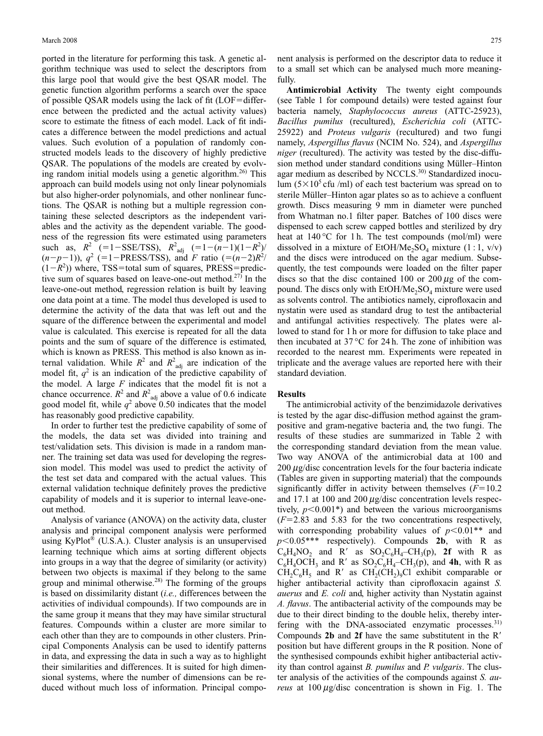ported in the literature for performing this task. A genetic algorithm technique was used to select the descriptors from this large pool that would give the best QSAR model. The genetic function algorithm performs a search over the space of possible QSAR models using the lack of fit  $(LOF=differ-<sub>1</sub>)$ ence between the predicted and the actual activity values) score to estimate the fitness of each model. Lack of fit indicates a difference between the model predictions and actual values. Such evolution of a population of randomly constructed models leads to the discovery of highly predictive QSAR. The populations of the models are created by evolving random initial models using a genetic algorithm.<sup>26)</sup> This approach can build models using not only linear polynomials but also higher-order polynomials, and other nonlinear functions. The QSAR is nothing but a multiple regression containing these selected descriptors as the independent variables and the activity as the dependent variable. The goodness of the regression fits were estimated using parameters such as,  $R^2$  (=1-SSE/TSS),  $R^2$ <sub>adj</sub> (=1- $(n-1)(1-R^2)$ )  $(n-p-1)$ ),  $q^2$  (=1-PRESS/TSS), and *F* ratio (= $(n-2)R^2/2$  $(1 - R<sup>2</sup>)$ ) where, TSS=total sum of squares, PRESS=predictive sum of squares based on leave-one-out method.<sup>27)</sup> In the leave-one-out method, regression relation is built by leaving one data point at a time. The model thus developed is used to determine the activity of the data that was left out and the square of the difference between the experimental and model value is calculated. This exercise is repeated for all the data points and the sum of square of the difference is estimated, which is known as PRESS. This method is also known as internal validation. While  $R^2$  and  $R^2$ <sub>adj</sub> are indication of the model fit,  $q^2$  is an indication of the predictive capability of the model. A large *F* indicates that the model fit is not a chance occurrence.  $R^2$  and  $R^2$ <sub>adj</sub> above a value of 0.6 indicate good model fit, while  $q^2$  above 0.50 indicates that the model has reasonably good predictive capability.

In order to further test the predictive capability of some of the models, the data set was divided into training and test/validation sets. This division is made in a random manner. The training set data was used for developing the regression model. This model was used to predict the activity of the test set data and compared with the actual values. This external validation technique definitely proves the predictive capability of models and it is superior to internal leave-oneout method.

Analysis of variance (ANOVA) on the activity data, cluster analysis and principal component analysis were performed using KyPlot® (U.S.A.). Cluster analysis is an unsupervised learning technique which aims at sorting different objects into groups in a way that the degree of similarity (or activity) between two objects is maximal if they belong to the same group and minimal otherwise.28) The forming of the groups is based on dissimilarity distant (*i.e.,* differences between the activities of individual compounds). If two compounds are in the same group it means that they may have similar structural features. Compounds within a cluster are more similar to each other than they are to compounds in other clusters. Principal Components Analysis can be used to identify patterns in data, and expressing the data in such a way as to highlight their similarities and differences. It is suited for high dimensional systems, where the number of dimensions can be reduced without much loss of information. Principal component analysis is performed on the descriptor data to reduce it to a small set which can be analysed much more meaningfully.

**Antimicrobial Activity** The twenty eight compounds (see Table 1 for compound details) were tested against four bacteria namely, *Staphylococcus aureus* (ATTC-25923), *Bacillus pumilus* (recultured), *Escherichia coli* (ATTC-25922) and *Proteus vulgaris* (recultured) and two fungi namely, *Aspergillus flavus* (NCIM No. 524), and *Aspergillus niger* (recultured). The activity was tested by the disc-diffusion method under standard conditions using Müller–Hinton agar medium as described by NCCLS.<sup>30)</sup> Standardized inoculum  $(5\times10^5 \text{ cftu } / \text{m}$ ) of each test bacterium was spread on to sterile Müller–Hinton agar plates so as to achieve a confluent growth. Discs measuring 9 mm in diameter were punched from Whatman no.1 filter paper. Batches of 100 discs were dispensed to each screw capped bottles and sterilized by dry heat at  $140^{\circ}$ C for 1 h. The test compounds (mol/ml) were dissolved in a mixture of EtOH/Me<sub>2</sub>SO<sub>4</sub> mixture (1 : 1, v/v) and the discs were introduced on the agar medium. Subsequently, the test compounds were loaded on the filter paper discs so that the disc contained 100 or 200  $\mu$ g of the compound. The discs only with  $EtOH/Me<sub>2</sub>SO<sub>4</sub>$  mixture were used as solvents control. The antibiotics namely, ciprofloxacin and nystatin were used as standard drug to test the antibacterial and antifungal activities respectively. The plates were allowed to stand for 1 h or more for diffusion to take place and then incubated at  $37^{\circ}$ C for 24 h. The zone of inhibition was recorded to the nearest mm. Experiments were repeated in triplicate and the average values are reported here with their standard deviation.

## **Results**

The antimicrobial activity of the benzimidazole derivatives is tested by the agar disc-diffusion method against the grampositive and gram-negative bacteria and, the two fungi. The results of these studies are summarized in Table 2 with the corresponding standard deviation from the mean value. Two way ANOVA of the antimicrobial data at 100 and  $200 \mu$ g/disc concentration levels for the four bacteria indicate (Tables are given in supporting material) that the compounds significantly differ in activity between themselves  $(F=10.2$ and 17.1 at 100 and 200  $\mu$ g/disc concentration levels respectively,  $p<0.001*$ ) and between the various microorganisms  $(F=2.83$  and 5.83 for the two concentrations respectively, with corresponding probability values of  $p<0.01**$  and  $p$ <0.05\*\*\* respectively). Compounds **2b**, with R as  $C_6H_4NO_2$  and R' as  $SO_2C_6H_4$ – $CH_3(p)$ , **2f** with R as  $C_6H_4OCH_3$  and R' as  $SO_2C_6H_4$ – $CH_3(p)$ , and **4h**, with R as  $CH_2C_6H_5$  and R' as  $CH_2(CH_2)_9Cl$  exhibit comparable or higher antibacterial activity than ciprofloxacin against *S. auerus* and *E. coli* and, higher activity than Nystatin against *A. flavus*. The antibacterial activity of the compounds may be due to their direct binding to the double helix, thereby interfering with the DNA-associated enzymatic processes.<sup>31)</sup> Compounds **2b** and **2f** have the same substitutent in the R position but have different groups in the R position. None of the synthesised compounds exhibit higher antibacterial activity than control against *B. pumilus* and *P. vulgaris*. The cluster analysis of the activities of the compounds against *S. aureus* at  $100 \mu g/d$  is concentration is shown in Fig. 1. The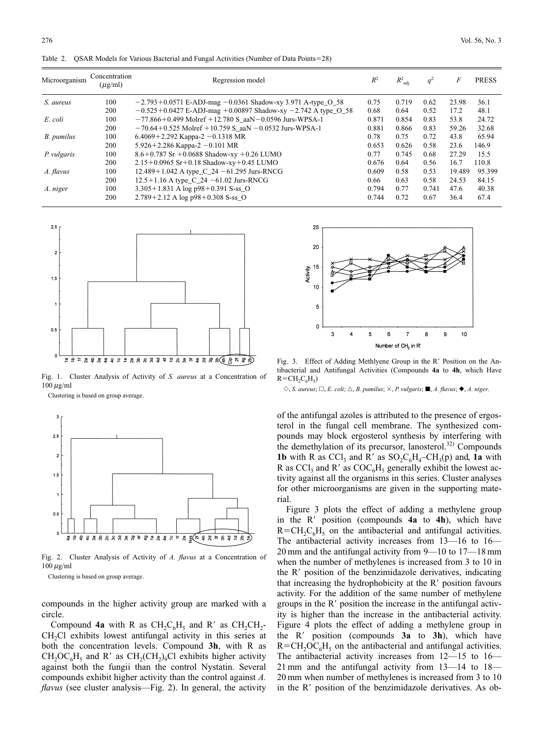| Microorganism | Concentration<br>$(\mu g/ml)$ | Regression model                                                  | $R^2$ | $R^2_{\text{adj}}$ | $q^2$ | F      | <b>PRESS</b> |
|---------------|-------------------------------|-------------------------------------------------------------------|-------|--------------------|-------|--------|--------------|
| S. aureus     | 100                           | $-2.793 + 0.0571$ E-ADJ-mag $-0.0361$ Shadow-xy 3.971 A-type O 58 | 0.75  | 0.719              | 0.62  | 23.98  | 36.1         |
|               | 200                           | $-0.525 + 0.0427$ E-ADJ-mag +0.00897 Shadow-xy -2.742 A type O 58 | 0.68  | 0.64               | 0.52  | 17.2   | 48.1         |
| E. coli       | 100                           | $-77.866 + 0.499$ Molref +12.780 S_aaN $-0.0596$ Jurs-WPSA-1      | 0.871 | 0.854              | 0.83  | 53.8   | 24.72        |
|               | 200                           | $-70.64 + 0.525$ Molref +10.759 S_aaN $-0.0532$ Jurs-WPSA-1       | 0.881 | 0.866              | 0.83  | 59.26  | 32.68        |
| B. pumilus    | 100                           | $6.4069 + 2.292$ Kappa-2 -0.1318 MR                               | 0.78  | 0.75               | 0.72  | 43.8   | 65.94        |
|               | 200                           | $5.926 + 2.286$ Kappa-2 -0.101 MR                                 | 0.653 | 0.626              | 0.58  | 23.6   | 146.9        |
| P. vulgaris   | 100                           | $8.6 + 0.787$ Sr $+0.0688$ Shadow-xy $+0.26$ LUMO                 | 0.77  | 0.745              | 0.68  | 27.29  | 15.5         |
|               | 200                           | $2.15+0.0965$ Sr + 0.18 Shadow-xy + 0.45 LUMO                     | 0.676 | 0.64               | 0.56  | 16.7   | 110.8        |
| A. flavus     | 100                           | 12.489 + 1.042 A type_C_24 $-61.295$ Jurs-RNCG                    | 0.609 | 0.58               | 0.53  | 19.489 | 95.399       |
|               | 200                           | $12.5 + 1.16$ A type C 24 -61.02 Jurs-RNCG                        | 0.66  | 0.63               | 0.58  | 24.53  | 84.15        |
| A. niger      | 100                           | 3.305+1.831 A log p98+0.391 S-ss_O                                | 0.794 | 0.77               | 0.741 | 47.6   | 40.38        |
|               | 200                           | $2.789 + 2.12$ A log p $98 + 0.308$ S-ss_O                        | 0.744 | 0.72               | 0.67  | 36.4   | 67.4         |

Table 2. QSAR Models for Various Bacterial and Fungal Activities (Number of Data Points=28)



Fig. 1. Cluster Analysis of Activity of *S. aureus* at a Concentration of  $100 \mu g/ml$ 

Clustering is based on group average.



Fig. 2. Cluster Analysis of Activity of *A. flavus* at a Concentration of  $100 \,\mu\text{g/ml}$ 

Clustering is based on group average.

compounds in the higher activity group are marked with a circle.

Compound **4a** with R as  $CH_2C_6H_5$  and R' as  $CH_2CH_2$ -CH<sub>2</sub>Cl exhibits lowest antifungal activity in this series at both the concentration levels. Compound **3h**, with R as  $CH_2OC_6H_5$  and R' as  $CH_2(CH_2)_9Cl$  exhibits higher activity against both the fungii than the control Nystatin. Several compounds exhibit higher activity than the control against *A. flavus* (see cluster analysis—Fig. 2). In general, the activity



Fig. 3. Effect of Adding Methlyene Group in the R' Position on the Antibacterial and Antifungal Activities (Compounds **4a** to **4h**, which Have  $R=CH<sub>2</sub>C<sub>6</sub>H<sub>5</sub>$ 

 $\Diamond$ , *S. aureus*;  $\Box$ , *E. coli*;  $\triangle$ , *B. pumilus*;  $\times$ , *P. vulgaris*;  $\blacksquare$ , *A. flavus*;  $\blacklozenge$ , *A. niger.* 

of the antifungal azoles is attributed to the presence of ergosterol in the fungal cell membrane. The synthesized compounds may block ergosterol synthesis by interfering with the demethylation of its precursor, lanosterol.<sup>32)</sup> Compounds **1b** with R as  $\text{CCl}_3$  and R' as  $\text{SO}_2\text{C}_6\text{H}_4-\text{CH}_3(p)$  and, **1a** with R as  $\text{CCI}_3$  and R' as  $\text{COC}_6H_5$  generally exhibit the lowest activity against all the organisms in this series. Cluster analyses for other microorganisms are given in the supporting material.

Figure 3 plots the effect of adding a methylene group in the R' position (compounds 4a to 4h), which have  $R=CH_2C_6H_5$  on the antibacterial and antifungal activities. The antibacterial activity increases from 13—16 to 16— 20 mm and the antifungal activity from 9—10 to 17—18 mm when the number of methylenes is increased from 3 to 10 in the R' position of the benzimidazole derivatives, indicating that increasing the hydrophobicity at the R' position favours activity. For the addition of the same number of methylene groups in the R' position the increase in the antifungal activity is higher than the increase in the antibacterial activity. Figure 4 plots the effect of adding a methylene group in the R' position (compounds 3a to 3h), which have  $R=CH_2OC_6H_5$  on the antibacterial and antifungal activities. The antibacterial activity increases from 12—15 to 16— 21 mm and the antifungal activity from 13—14 to 18— 20 mm when number of methylenes is increased from 3 to 10 in the R' position of the benzimidazole derivatives. As ob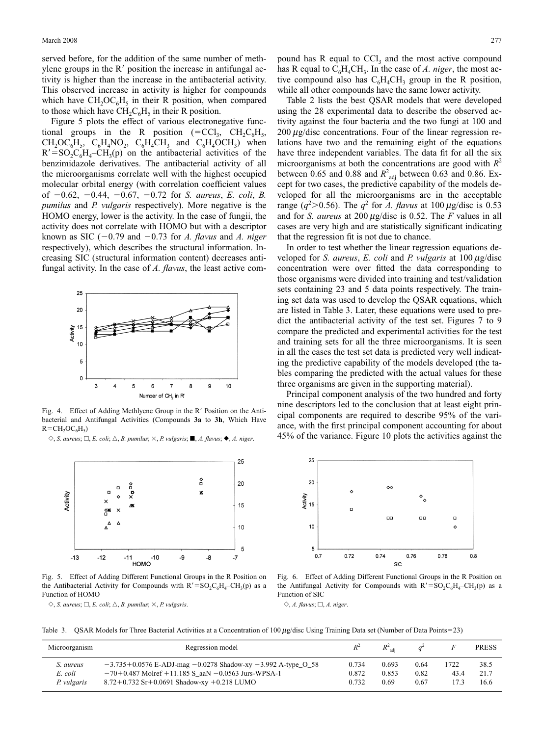served before, for the addition of the same number of methylene groups in the  $R'$  position the increase in antifungal activity is higher than the increase in the antibacterial activity. This observed increase in activity is higher for compounds which have  $CH_2OC<sub>6</sub>H<sub>5</sub>$  in their R position, when compared to those which have  $CH_2C_6H_5$  in their R position.

Figure 5 plots the effect of various electronegative functional groups in the R position (=CCl<sub>3</sub>, CH<sub>2</sub>C<sub>6</sub>H<sub>5</sub>,  $CH_2OCl_6H_5$ ,  $C_6H_4NO_2$ ,  $C_6H_4CH_3$  and  $C_6H_4OCH_3$ ) when  $R' = SO_2C_6H_4 - CH_3(p)$  on the antibacterial activities of the benzimidazole derivatives. The antibacterial activity of all the microorganisms correlate well with the highest occupied molecular orbital energy (with correlation coefficient values of 0.62, 0.44, 0.67, 0.72 for *S. aureus*, *E. coli*, *B. pumilus* and *P. vulgaris* respectively). More negative is the HOMO energy, lower is the activity. In the case of fungii, the activity does not correlate with HOMO but with a descriptor known as SIC  $(-0.79$  and  $-0.73$  for *A. flavus* and *A. niger* respectively), which describes the structural information. Increasing SIC (structural information content) decreases antifungal activity. In the case of *A. flavus*, the least active com-



Fig. 4. Effect of Adding Methlyene Group in the R' Position on the Antibacterial and Antifungal Activities (Compounds **3a** to **3h**, Which Have  $R=CH_2OC<sub>6</sub>H<sub>5</sub>$ 

 $\Diamond$ , *S. aureus*;  $\Box$ , *E. coli*;  $\triangle$ , *B. pumilus*;  $\times$ , *P. vulgaris*;  $\blacksquare$ , *A. flavus*;  $\blacklozenge$ , *A. niger.* 



Fig. 5. Effect of Adding Different Functional Groups in the R Position on the Antibacterial Activity for Compounds with  $R' = SO_2C_6H_4 - CH_3(p)$  as a Function of HOMO

 $\Diamond$ , *S. aureus*;  $\Box$ , *E. coli*;  $\triangle$ , *B. pumilus*;  $\times$ , *P. vulgaris.* 

pound has R equal to  $\text{CCl}_3$  and the most active compound has R equal to  $C_6H_4CH_3$ . In the case of *A. niger*, the most active compound also has  $C_6H_4CH_3$  group in the R position, while all other compounds have the same lower activity.

Table 2 lists the best QSAR models that were developed using the 28 experimental data to describe the observed activity against the four bacteria and the two fungi at 100 and  $200 \mu$ g/disc concentrations. Four of the linear regression relations have two and the remaining eight of the equations have three independent variables. The data fit for all the six microorganisms at both the concentrations are good with  $R^2$ between 0.65 and 0.88 and  $R^2$ <sub>adj</sub> between 0.63 and 0.86. Except for two cases, the predictive capability of the models developed for all the microorganisms are in the acceptable range ( $q^2$ >0.56). The  $q^2$  for *A. flavus* at 100  $\mu$ g/disc is 0.53 and for *S. aureus* at 200  $\mu$ g/disc is 0.52. The *F* values in all cases are very high and are statistically significant indicating that the regression fit is not due to chance.

In order to test whether the linear regression equations developed for *S. aureus*, *E. coli* and *P. vulgaris* at  $100 \mu$ g/disc concentration were over fitted the data corresponding to those organisms were divided into training and test/validation sets containing 23 and 5 data points respectively. The training set data was used to develop the QSAR equations, which are listed in Table 3. Later, these equations were used to predict the antibacterial activity of the test set. Figures 7 to 9 compare the predicted and experimental activities for the test and training sets for all the three microorganisms. It is seen in all the cases the test set data is predicted very well indicating the predictive capability of the models developed (the tables comparing the predicted with the actual values for these three organisms are given in the supporting material).

Principal component analysis of the two hundred and forty nine descriptors led to the conclusion that at least eight principal components are required to describe 95% of the variance, with the first principal component accounting for about 45% of the variance. Figure 10 plots the activities against the



Fig. 6. Effect of Adding Different Functional Groups in the R Position on the Antifungal Activity for Compounds with  $R' = SO_2C_6H_4 - CH_3(p)$  as a Function of SIC

 $\diamondsuit$ , *A.* flavus;  $\square$ , *A. niger.* 

Table 3. QSAR Models for Three Bacterial Activities at a Concentration of  $100 \mu g/d$ isc Using Training Data set (Number of Data Points=23)

| Microorganism                       | Regression model                                                                                                                                                                       | $R^2$                   | $R^2_{\text{adi}}$     |                      |              | <b>PRESS</b>         |
|-------------------------------------|----------------------------------------------------------------------------------------------------------------------------------------------------------------------------------------|-------------------------|------------------------|----------------------|--------------|----------------------|
| S. aureus<br>E. coli<br>P. vulgaris | $-3.735 + 0.0576$ E-ADJ-mag $-0.0278$ Shadow-xy $-3.992$ A-type $-0.58$<br>$-70+0.487$ Molref +11.185 S aaN $-0.0563$ Jurs-WPSA-1<br>$8.72 + 0.732$ Sr + 0.0691 Shadow-xy + 0.218 LUMO | 0.734<br>0.872<br>0.732 | 0.693<br>0.853<br>0.69 | 0.64<br>0.82<br>0.67 | 1722<br>43.4 | 38.5<br>21.7<br>16.6 |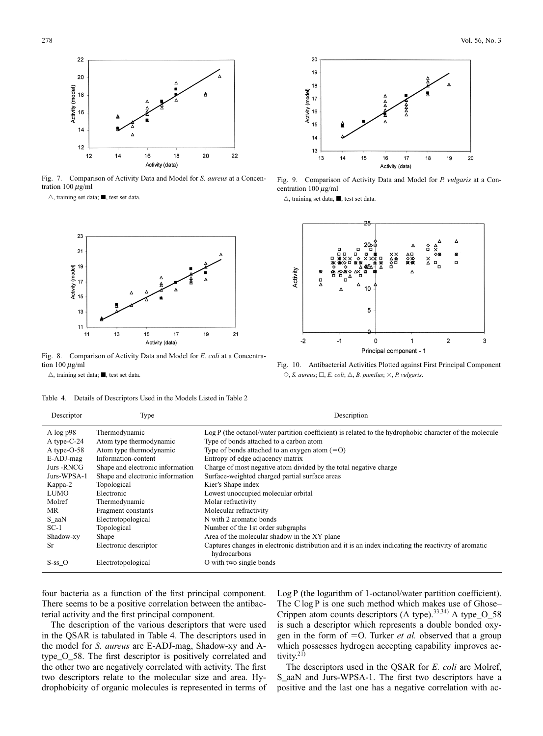

Fig. 7. Comparison of Activity Data and Model for *S. aureus* at a Concentration  $100 \mu g/ml$ 

 $\triangle$ , training set data;  $\blacksquare$ , test set data.



Fig. 8. Comparison of Activity Data and Model for *E. coli* at a Concentration  $100 \mu g/ml$ 

 $\triangle$ , training set data;  $\blacksquare$ , test set data.

Table 4. Details of Descriptors Used in the Models Listed in Table 2



Fig. 9. Comparison of Activity Data and Model for *P. vulgaris* at a Concentration 100  $\mu$ g/ml

 $\triangle$ , training set data,  $\blacksquare$ , test set data.



Fig. 10. Antibacterial Activities Plotted against First Principal Component  $\Diamond$ , *S. aureus*;  $\Box$ , *E. coli*;  $\triangle$ , *B. pumilus*;  $\times$ , *P. vulgaris.* 

| Descriptor   | Type                             | Description                                                                                                          |
|--------------|----------------------------------|----------------------------------------------------------------------------------------------------------------------|
| A $\log p98$ | Thermodynamic                    | Log P (the octanol/water partition coefficient) is related to the hydrophobic character of the molecule              |
| A type-C-24  | Atom type thermodynamic          | Type of bonds attached to a carbon atom                                                                              |
| A type-O-58  | Atom type thermodynamic          | Type of bonds attached to an oxygen atom $(=0)$                                                                      |
| E-ADJ-mag    | Information-content              | Entropy of edge adjacency matrix                                                                                     |
| Jurs -RNCG   | Shape and electronic information | Charge of most negative atom divided by the total negative charge                                                    |
| Jurs-WPSA-1  | Shape and electronic information | Surface-weighted charged partial surface areas                                                                       |
| Kappa-2      | Topological                      | Kier's Shape index                                                                                                   |
| <b>LUMO</b>  | Electronic                       | Lowest unoccupied molecular orbital                                                                                  |
| Molref       | Thermodynamic                    | Molar refractivity                                                                                                   |
| MR.          | Fragment constants               | Molecular refractivity                                                                                               |
| $S_aaN$      | Electrotopological               | N with 2 aromatic bonds                                                                                              |
| $SC-1$       | Topological                      | Number of the 1st order subgraphs                                                                                    |
| Shadow-xy    | Shape                            | Area of the molecular shadow in the XY plane                                                                         |
| <b>Sr</b>    | Electronic descriptor            | Captures changes in electronic distribution and it is an index indicating the reactivity of aromatic<br>hydrocarbons |
| $S-ss$ O     | Electrotopological               | O with two single bonds                                                                                              |

four bacteria as a function of the first principal component. There seems to be a positive correlation between the antibacterial activity and the first principal component.

The description of the various descriptors that were used in the QSAR is tabulated in Table 4. The descriptors used in the model for *S. aureus* are E-ADJ-mag, Shadow-xy and Atype\_O\_58. The first descriptor is positively correlated and the other two are negatively correlated with activity. The first two descriptors relate to the molecular size and area. Hydrophobicity of organic molecules is represented in terms of

Log P (the logarithm of 1-octanol/water partition coefficient). The C log P is one such method which makes use of Ghose– Crippen atom counts descriptors (A type).<sup>33,34)</sup> A type\_O\_58 is such a descriptor which represents a double bonded oxygen in the form of  $=$  O. Turker *et al.* observed that a group which possesses hydrogen accepting capability improves activity. $21$ )

The descriptors used in the QSAR for *E. coli* are Molref, S\_aaN and Jurs-WPSA-1. The first two descriptors have a positive and the last one has a negative correlation with ac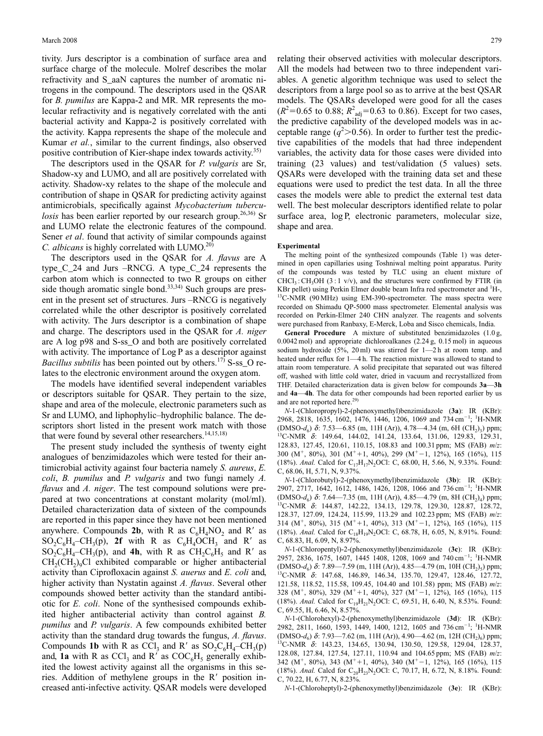tivity. Jurs descriptor is a combination of surface area and surface charge of the molecule. Molref describes the molar refractivity and S\_aaN captures the number of aromatic nitrogens in the compound. The descriptors used in the QSAR for *B. pumilus* are Kappa-2 and MR. MR represents the molecular refractivity and is negatively correlated with the anti bacterial activity and Kappa-2 is positively correlated with the activity. Kappa represents the shape of the molecule and Kumar *et al.*, similar to the current findings, also observed positive contribution of Kier-shape index towards activity.<sup>35)</sup>

The descriptors used in the QSAR for *P. vulgaris* are Sr, Shadow-xy and LUMO, and all are positively correlated with activity. Shadow-xy relates to the shape of the molecule and contribution of shape in QSAR for predicting activity against antimicrobials, specifically against *Mycobacterium tuberculosis* has been earlier reported by our research group.<sup>26,36</sup> Sr and LUMO relate the electronic features of the compound. Sener *et al*. found that activity of similar compounds against *C. albicans* is highly correlated with LUMO.<sup>20)</sup>

The descriptors used in the QSAR for *A. flavus* are A type\_C\_24 and Jurs –RNCG. A type\_C\_24 represents the carbon atom which is connected to two R groups on either side though aromatic single bond.<sup>33,34)</sup> Such groups are present in the present set of structures. Jurs –RNCG is negatively correlated while the other descriptor is positively correlated with activity. The Jurs descriptor is a combination of shape and charge. The descriptors used in the QSAR for *A. niger* are A log p98 and S-ss\_O and both are positively correlated with activity. The importance of Log P as a descriptor against *Bacillus subtilis* has been pointed out by others.<sup>17)</sup> S-ss\_O relates to the electronic environment around the oxygen atom.

The models have identified several independent variables or descriptors suitable for QSAR. They pertain to the size, shape and area of the molecule, electronic parameters such as Sr and LUMO, and liphophylic–hydrophilic balance. The descriptors short listed in the present work match with those that were found by several other researchers.<sup>14,15,18)</sup>

The present study included the synthesis of twenty eight analogues of benzimidazoles which were tested for their antimicrobial activity against four bacteria namely *S. aureus*, *E. coli*, *B. pumilus* and *P. vulgaris* and two fungi namely *A. flavus* and *A. niger*. The test compound solutions were prepared at two concentrations at constant molarity (mol/ml). Detailed characterization data of sixteen of the compounds are reported in this paper since they have not been mentioned anywhere. Compounds **2b**, with R as  $C_6H_4NO_2$  and R' as  $SO_2C_6H_4$ –CH<sub>3</sub>(p), **2f** with R as  $C_6H_4OCH_3$  and R' as  $SO_2C_6H_4$ –CH<sub>3</sub>(p), and **4h**, with R as  $CH_2C_6H_5$  and R<sup>'</sup> as  $CH<sub>2</sub>(CH<sub>2</sub>)<sub>9</sub>Cl$  exhibited comparable or higher antibacterial activity than Ciprofloxacin against *S. auerus* and *E. coli* and, higher activity than Nystatin against *A. flavus*. Several other compounds showed better activity than the standard antibiotic for *E. coli*. None of the synthesised compounds exhibited higher antibacterial activity than control against *B. pumilus* and *P. vulgaris*. A few compounds exhibited better activity than the standard drug towards the fungus, *A. flavus*. Compounds **1b** with R as CCl<sub>3</sub> and R' as  $SO_2C_6H_4$ –CH<sub>3</sub>(p) and, **1a** with R as  $CCl_3$  and R' as  $COC_6H_5$  generally exhibited the lowest activity against all the organisms in this series. Addition of methylene groups in the R' position increased anti-infective activity. QSAR models were developed relating their observed activities with molecular descriptors. All the models had between two to three independent variables. A genetic algorithm technique was used to select the descriptors from a large pool so as to arrive at the best QSAR models. The QSARs developed were good for all the cases  $(R^2=0.65 \text{ to } 0.88; R^2_{\text{adj}}=0.63 \text{ to } 0.86)$ . Except for two cases, the predictive capability of the developed models was in acceptable range  $(q^2>0.56)$ . In order to further test the predictive capabilities of the models that had three independent variables, the activity data for those cases were divided into training (23 values) and test/validation (5 values) sets. QSARs were developed with the training data set and these equations were used to predict the test data. In all the three cases the models were able to predict the external test data well. The best molecular descriptors identified relate to polar surface area, log P, electronic parameters, molecular size, shape and area.

## **Experimental**

The melting point of the synthesized compounds (Table 1) was determined in open capillaries using Toshniwal melting point apparatus. Purity of the compounds was tested by TLC using an eluent mixture of  $CHCl<sub>3</sub>:CH<sub>3</sub>OH (3:1 v/v)$ , and the structures were confirmed by FTIR (in KBr pellet) using Perkin Elmer double beam Infra red spectrometer and <sup>1</sup>H-, <sup>13</sup>C-NMR (90 MHz) using EM-390-spectrometer. The mass spectra were recorded on Shimadu QP-5000 mass spectrometer. Elemental analysis was recorded on Perkin-Elmer 240 CHN analyzer. The reagents and solvents were purchased from Ranbaxy, E-Merck, Loba and Sisco chemicals, India.

**General Procedure** A mixture of substituted benzimidazoles (1.0 g, 0.0042 mol) and appropriate dichloroalkanes (2.24 g, 0.15 mol) in aqueous sodium hydroxide (5%, 20 ml) was stirred for 1—2 h at room temp. and heated under reflux for  $1-4$  h. The reaction mixture was allowed to stand to attain room temperature. A solid precipitate that separated out was filtered off, washed with little cold water, dried in vacuum and recrystallized from THF. Detailed characterization data is given below for compounds **3a**—**3h** and **4a**—**4h**. The data for other compounds had been reported earlier by us and are not reported here.<sup>29)</sup>

*N*-1-(Chloropropyl)-2-(phenoxymethyl)benzimidazole (**3a**): IR (KBr): 2968, 2818, 1635, 1602, 1476, 1446, 1206, 1069 and 734 cm<sup>-1</sup>; <sup>1</sup>H-NMR (DMSO-*d<sub>6</sub>) δ*: 7.53—6.85 (m, 11H (Ar)), 4.78—4.34 (m, 6H (CH<sub>2</sub>)<sub>3</sub>) ppm; <sup>13</sup>C-NMR δ: 149.64, 144.02, 141.24, 133.64, 131.06, 129.83, 129.31, 128.83, 127.45, 120.61, 110.15, 108.83 and 100.31 ppm; MS (FAB) *m*/*z*: 300 (M<sup>+</sup>, 80%), 301 (M<sup>+</sup>+1, 40%), 299 (M<sup>+</sup>-1, 12%), 165 (16%), 115 (18%). *Anal.* Calcd for C<sub>17</sub>H<sub>17</sub>N<sub>2</sub>OCl: C, 68.00, H, 5.66, N, 9.33%. Found: C, 68.06, H, 5.71, N, 9.37%.

*N*-1-(Chlorobutyl)-2-(phenoxymethyl)benzimidazole (**3b**): IR (KBr): 2907, 2717, 1642, 1612, 1486, 1426, 1208, 1066 and 736 cm<sup>-1</sup>; <sup>1</sup>H-NMR (DMSO-*d<sub>6</sub>) δ*: 7.64—7.35 (m, 11H (Ar)), 4.85—4.79 (m, 8H (CH<sub>2</sub>)<sub>4</sub>) ppm; <sup>13</sup>C-NMR δ: 144.87, 142.22, 134.13, 129.78, 129.30, 128.87, 128.72, 128.37, 127.09, 124.24, 115.99, 113.29 and 102.23 ppm; MS (FAB) *m*/*z*: 314 (M<sup>+</sup>, 80%), 315 (M<sup>+</sup>+1, 40%), 313 (M<sup>+</sup>-1, 12%), 165 (16%), 115 (18%). *Anal*. Calcd for C<sub>18</sub>H<sub>19</sub>N<sub>2</sub>OCl: C, 68.78, H, 6.05, N, 8.91%. Found: C, 68.83, H, 6.09, N, 8.97%.

*N*-1-(Chloropentyl)-2-(phenoxymethyl)benzimidazole (**3c**): IR (KBr): 2957, 2836, 1675, 1607, 1445 1408, 1208, 1069 and 740 cm<sup>-1</sup>; <sup>1</sup>H-NMR (DMSO-*d*<sub>6</sub>) δ: 7.89—7.59 (m, 11H (Ar)), 4.85—4.79 (m, 10H (CH<sub>2</sub>)<sub>5</sub>) ppm; <sup>13</sup>C-NMR δ: 147.68, 146.89, 146.34, 135.70, 129.47, 128.46, 127.72, 121.58, 118.52, 115.58, 109.45, 104.40 and 101.58) ppm; MS (FAB) *m*/*z*: 328 (M<sup>+</sup>, 80%), 329 (M<sup>+</sup>+1, 40%), 327 (M<sup>+</sup>-1, 12%), 165 (16%), 115 (18%). *Anal.* Calcd for C<sub>19</sub>H<sub>21</sub>N<sub>2</sub>OCl: C, 69.51, H, 6.40, N, 8.53%. Found: C, 69.55, H, 6.46, N, 8.57%.

*N*-1-(Chlorohexyl)-2-(phenoxymethyl)benzimidazole (**3d**): IR (KBr): 2982, 2811, 1660, 1593, 1449, 1400, 1212, 1605 and 736 cm<sup>-1</sup>; <sup>1</sup>H-NMR (DMSO-*d<sub>6</sub>*) δ: 7.93—7.62 (m, 11H (Ar)), 4.90—4.62 (m, 12H (CH<sub>2</sub>)<sub>6</sub>) ppm; <sup>13</sup>C-NMR δ: 143.23, 134.65, 130.94, 130.50, 129.58, 129.04, 128.37, 128.08, 127.84, 127.54, 127.11, 110.94 and 104.65 ppm; MS (FAB) *m*/*z*: 342 (M<sup>+</sup>, 80%), 343 (M<sup>+</sup>+1, 40%), 340 (M<sup>+</sup>-1, 12%), 165 (16%), 115 (18%). *Anal*. Calcd for C<sub>20</sub>H<sub>23</sub>N<sub>2</sub>OCl: C, 70.17, H, 6.72, N, 8.18%. Found: C, 70.22, H, 6.77, N, 8.23%.

*N*-1-(Chloroheptyl)-2-(phenoxymethyl)benzimidazole (**3e**): IR (KBr):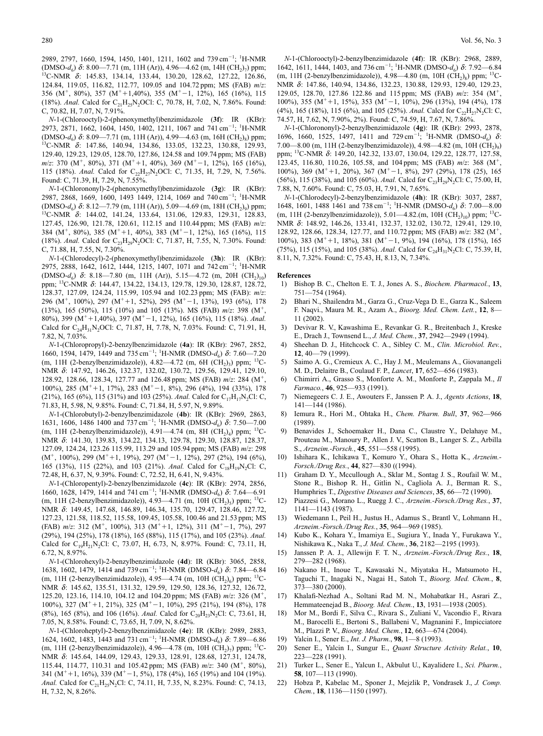2989, 2797, 1660, 1594, 1450, 1401, 1211, 1602 and 739 cm<sup>-1</sup>; <sup>1</sup>H-NMR  $(DMSO-d_6)$   $\delta$ : 8.00—7.71 (m, 11H (Ar)), 4.96—4.62 (m, 14H (CH<sub>2</sub>)<sub>7</sub>) ppm; <sup>13</sup>C-NMR  $\delta$ : 145.83, 134.14, 133.44, 130.20, 128.62, 127.22, 126.86, 124.84, 119.05, 116.82, 112.77, 109.05 and 104.72 ppm; MS (FAB) *m*/*z*: 356 (M<sup>+</sup>, 80%), 357 (M<sup>+</sup>+1,40%), 355 (M<sup>+</sup>-1, 12%), 165 (16%), 115 (18%). *Anal*. Calcd for C<sub>21</sub>H<sub>25</sub>N<sub>2</sub>OCl: C, 70.78, H, 7.02, N, 7.86%. Found: C, 70.82, H, 7.07, N, 7.91%.

*N*-1-(Chlorooctyl)-2-(phenoxymethyl)benzimidazole (**3f**): IR (KBr): 2973, 2871, 1662, 1604, 1450, 1402, 1211, 1067 and 741 cm<sup>-1</sup>; <sup>1</sup>H-NMR (DMSO- $d_6$ )  $\delta$ : 8.09—7.71 (m, 11H (Ar)), 4.99—4.63 (m, 16H (CH<sub>2</sub>)<sub>8</sub>) ppm; <sup>13</sup>C-NMR  $\delta$ : 147.86, 140.94, 134.86, 133.05, 132.23, 130.88, 129.93, 129.40, 129.23, 129.05, 128.70, 127.86, 124.58 and 109.74 ppm; MS (FAB) *m*/*z*: 370 (M<sup>+</sup>, 80%), 371 (M<sup>+</sup>+1, 40%), 369 (M<sup>+</sup>-1, 12%), 165 (16%), 115 (18%). *Anal.* Calcd for C<sub>22</sub>H<sub>27</sub>N<sub>2</sub>OCl: C, 71.35, H, 7.29, N, 7.56%. Found: C, 71.39, H, 7.29, N, 7.55%.

*N*-1-(Chlorononyl)-2-(phenoxymethyl)benzimidazole (**3g**): IR (KBr): 2987, 2868, 1669, 1600, 1493 1449, 1214, 1069 and 740 cm<sup>-1</sup>; <sup>1</sup>H-NMR (DMSO-*d*<sub>6</sub>) δ: 8.12—7.79 (m, 11H (Ar)), 5.09—4.69 (m, 18H (CH<sub>2</sub>)<sub>9</sub>) ppm; <sup>13</sup>C-NMR δ: 144.02, 141.24, 133.64, 131.06, 129.83, 129.31, 128.83, 127.45, 126.90, 121.78, 120.61, 112.15 and 110.44 ppm; MS (FAB) *m*/*z*: 384 (M<sup>+</sup>, 80%), 385 (M<sup>+</sup>+1, 40%), 383 (M<sup>+</sup>-1, 12%), 165 (16%), 115 (18%). *Anal*. Calcd for C<sub>23</sub>H<sub>29</sub>N<sub>2</sub>OCl: C, 71.87, H, 7.55, N, 7.30%. Found: C, 71.88, H, 7.55, N, 7.30%.

*N*-1-(Chlorodecyl)-2-(phenoxymethyl)benzimidazole (**3h**): IR (KBr): 2975, 2888, 1642, 1612, 1444, 1215, 1407, 1071 and 742 cm<sup>-1</sup>; <sup>1</sup>H-NMR (DMSO- $d_6$ )  $\delta$ : 8.18—7.80 (m, 11H (Ar)), 5.15—4.72 (m, 20H (CH<sub>2</sub>)<sub>10</sub>) ppm; 13C-NMR d: 144.47, 134.22, 134.13, 129.78, 129.30, 128.87, 128.72, 128.37, 127.09, 124.24, 115.99, 105.94 and 102.23 ppm; MS (FAB): *m*/*z*: 296 (M<sup>+</sup>, 100%), 297 (M<sup>+</sup>+1, 52%), 295 (M<sup>+</sup>-1, 13%), 193 (6%), 178 (13%), 165 (50%), 115 (10%) and 105 (13%). MS (FAB) *m*/*z*: 398 (M, 80%), 399 (M<sup>+</sup>+1,40%), 397 (M<sup>+</sup>-1, 12%), 165 (16%), 115 (18%). *Anal.* Calcd for C<sub>24</sub>H<sub>31</sub>N<sub>2</sub>OCl: C, 71.87, H, 7.78, N, 7.03%. Found: C, 71.91, H, 7.82, N, 7.03%.

*N*-1-(Chloropropyl)-2-benzylbenzimidazole (**4a**): IR (KBr): 2967, 2852, 1660, 1594, 1479, 1449 and 735 cm<sup>-1</sup>; <sup>1</sup>H-NMR (DMSO- $d_6$ )  $\delta$ : 7.60–7.20 (m, 11H (2-benzylbenzimidazole)), 4.82—4.72 (m, 6H (CH<sub>2</sub>)<sub>3</sub>) ppm; <sup>13</sup>C-NMR δ: 147.92, 146.26, 132.37, 132.02, 130.72, 129.56, 129.41, 129.10, 128.92, 128.66, 128.34, 127.77 and 126.48 ppm; MS (FAB)  $m/z$ : 284 (M<sup>+</sup>, 100%), 285 (M<sup>+</sup> +1, 17%), 283 (M<sup>+</sup> -1, 8%), 296 (4%), 194 (33%), 178 (21%), 165 (6%), 115 (31%) and 103 (25%). *Anal*. Calcd for C<sub>17</sub>H<sub>17</sub>N<sub>2</sub>Cl: C, 71.83, H, 5.98, N, 9.85%. Found: C, 71.84, H, 5.97, N, 9.89%.

*N*-1-(Chlorobutyl)-2-benzylbenzimidazole (**4b**): IR (KBr): 2969, 2863, 1631, 1606, 1486 1400 and 737 cm<sup>-1</sup>; <sup>1</sup>H-NMR (DMSO- $d_6$ )  $\delta$ : 7.50–7.00 (m, 11H (2-benzylbenzimidazole)), 4.91—4.74 (m, 8H (CH<sub>2</sub>)<sub>4</sub>) ppm; <sup>13</sup>C-NMR δ: 141.30, 139.83, 134.22, 134.13, 129.78, 129.30, 128.87, 128.37, 127.09, 124.24, 123.26 115.99, 113.29 and 105.94 ppm; MS (FAB) *m*/*z*: 298  $(M^+$ , 100%), 299  $(M^+ + 1, 19)$ %), 297  $(M^+ - 1, 12)$ %), 297 (2%), 194 (6%), 165 (13%), 115 (22%), and 103 (21%). *Anal*. Calcd for C<sub>18</sub>H<sub>19</sub>N<sub>2</sub>Cl: C, 72.48, H, 6.37, N, 9.39%. Found: C, 72.52, H, 6.41, N, 9.43%.

*N*-1-(Chloropentyl)-2-benzylbenzimidazole (**4c**): IR (KBr): 2974, 2856, 1660, 1628, 1479, 1414 and 741 cm<sup>-1</sup>; <sup>1</sup>H-NMR (DMSO- $d_6$ )  $\delta$ : 7.64–6.91 (m, 11H (2-benzylbenzimidazole)), 4.93—4.71 (m, 10H (CH<sub>2</sub>)<sub>5</sub>) ppm; <sup>13</sup>C-NMR δ: 149.45, 147.68, 146.89, 146.34, 135.70, 129.47, 128.46, 127.72, 127.23, 121.58, 118.52, 115.58, 109.45, 105.58, 100.46 and 21.53 ppm; MS (FAB) *m*/*z*: 312 (M<sup>+</sup>, 100%), 313 (M<sup>+</sup>+1, 12%), 311 (M<sup>+</sup>-1, 7%), 297 (29%), 194 (25%), 178 (18%), 165 (88%), 115 (17%), and 105 (23%). *Anal.* Calcd for  $C_{19}H_{21}N_2Cl$ : C, 73.07, H, 6.73, N, 8.97%. Found: C, 73.11, H, 6.72, N, 8.97%.

*N*-1-(Chlorohexyl)-2-benzylbenzimidazole (**4d**): IR (KBr): 3065, 2858, 1638, 1602, 1479, 1414 and 739 cm<sup>-1</sup>; <sup>1</sup>H-NMR (DMSO- $d_6$ )  $\delta$ : 7.84–6.84 (m, 11H (2-benzylbenzimidazole)), 4.95—4.74 (m, 10H  $(CH_2)_6$ ) ppm; <sup>13</sup>C-NMR δ: 145.62, 135.51, 131.32, 129.59, 129.50, 128.36, 127.32, 126.72, 125.20, 123.16, 114.10, 104.12 and 104.20 ppm; MS (FAB)  $m/z$ : 326 (M<sup>+</sup>, 100%), 327 (M<sup>+</sup> +1, 21%), 325 (M<sup>+</sup> -1, 10%), 295 (21%), 194 (8%), 178 (8%), 165 (8%), and 106 (16%). *Anal*. Calcd for C<sub>20</sub>H<sub>23</sub>N<sub>2</sub>Cl: C, 73.61, H, 7.05, N, 8.58%. Found: C, 73.65, H, 7.09, N, 8.62%.

*N*-1-(Chloroheptyl)-2-benzylbenzimidazole (**4e**): IR (KBr): 2989, 2883, 1624, 1602, 1483, 1443 and 731 cm<sup>-1</sup>; <sup>1</sup>H-NMR (DMSO- $d_6$ )  $\delta$ : 7.89–6.86 (m, 11H (2-benzylbenzimidazole)), 4.96—4.78 (m, 10H (CH<sub>2</sub>)<sub>7</sub>) ppm; <sup>13</sup>C-NMR δ: 145.64, 144.09, 129.43, 129.33, 128.91, 128.68, 127.31, 124.78, 115.44, 114.77, 110.31 and 105.42 ppm; MS (FAB)  $m/z$ : 340 (M<sup>+</sup>, 80%), 341 ( $M^+$ +1, 16%), 339 ( $M^+$ -1, 5%), 178 (4%), 165 (19%) and 104 (19%). *Anal.* Calcd for C<sub>21</sub>H<sub>25</sub>N<sub>2</sub>Cl: C, 74.11, H, 7.35, N, 8.23%. Found: C, 74.13, H, 7.32, N, 8.26%.

*N*-1-(Chlorooctyl)-2-benzylbenzimidazole (**4f**): IR (KBr): 2968, 2889, 1642, 1611, 1444, 1403, and 736 cm<sup>-1</sup>; <sup>1</sup>H-NMR (DMSO- $d_6$ )  $\delta$ : 7.92–6.84 (m, 11H (2-benzylbenzimidazole)), 4.98—4.80 (m, 10H  $(CH_2)_8$ ) ppm; <sup>13</sup>C-NMR δ: 147.86, 140.94, 134.86, 132.23, 130.88, 129.93, 129.40, 129.23, 129.05, 128.70, 127.86 122.86 and 115 ppm; MS (FAB)  $m/z$ : 354 (M<sup>+</sup>, 100%), 355 (M<sup>+</sup> +1, 15%), 353 (M<sup>+</sup> -1, 10%), 296 (13%), 194 (4%), 178 (4%), 165 (18%), 115 (6%), and 105 (25%). *Anal*. Calcd for  $C_2,H_{27}N_2Cl$ : C, 74.57, H, 7.62, N, 7.90%, 2%). Found: C, 74.59, H, 7.67, N, 7.86%.

*N*-1-(Chlorononyl)-2-benzylbenzimidazole (**4g**): IR (KBr): 2993, 2878, 1696, 1660, 1525, 1497, 1411 and 729 cm<sup>-1</sup>; <sup>1</sup>H-NMR (DMSO- $d_6$ )  $\delta$ : 7.00—8.00 (m, 11H (2-benzylbenzimidazole)),  $4.98-4.82$  (m, 10H (CH<sub>2</sub>)<sub>9</sub>) ppm; 13C-NMR d: 149.20, 142.32, 133.07, 130.04, 129.22, 128.77, 127.58, 123.45, 116.80, 110.26, 105.58, and 104 ppm; MS (FAB)  $m/z$ : 368 (M<sup>+</sup>, 100%), 369 (M<sup>+</sup>+1, 20%), 367 (M<sup>+</sup>-1, 8%), 297 (29%), 178 (25), 165 (56%), 115 (38%), and 105 (60%). *Anal*. Calcd for C<sub>23</sub>H<sub>29</sub>N<sub>2</sub>Cl: C, 75.00, H, 7.88, N, 7.60%. Found: C, 75.03, H, 7.91, N, 7.65%.

*N*-1-(Chlorodecyl)-2-benzylbenzimidazole (**4h**): IR (KBr): 3037, 2887, 1648, 1601, 1488 1461 and 738 cm<sup>-1</sup>; <sup>1</sup>H-NMR (DMSO- $d_6$ )  $\delta$ : 7.00-8.00 (m, 11H (2-benzylbenzimidazole)), 5.01—4.82.(m, 10H (CH<sub>2</sub>)<sub>10</sub>) ppm; <sup>13</sup>C-NMR δ: 148.92, 146.26, 133.41, 132.37, 132.02, 130.72, 129.41, 129.10, 128.92, 128.66, 128.34, 127.77, and 110.72 ppm; MS (FAB)  $m/z$ : 382 (M<sup>+</sup>, 100%), 383 ( $M^+$ +1, 18%), 381 ( $M^+$ -1, 9%), 194 (16%), 178 (15%), 165 (75%), 115 (15%), and 105 (38%). *Anal*. Calcd for C<sub>24</sub>H<sub>31</sub>N<sub>2</sub>Cl: C, 75.39, H, 8.11, N, 7.32%. Found: C, 75.43, H, 8.13, N, 7.34%.

## **References**

- 1) Bishop B. C., Chelton E. T. J., Jones A. S., *Biochem. Pharmacol.*, **13**, 751—754 (1964).
- 2) Bhari N., Shailendra M., Garza G., Cruz-Vega D. E., Garza K., Saleem F. Naqvi., Maura M. R., Azam A., *Bioorg. Med. Chem. Lett.*, **12**, 8— 11 (2002).
- 3) Devivar R. V., Kawashima E., Revankar G. R., Breitenbach J., Kreske E., Drach J., Townsend L., *J. Med. Chem.*, **37**, 2942—2949 (1994).
- 4) Sheehan D. J., Hitchcock C. A., Sibley C. M., *Clin. Microbiol. Rev.*, **12**, 40—79 (1999).
- 5) Saimo A. G., Cremieux A. C., Hay J. M., Meulemans A., Giovanangeli M. D., Delaitre B., Coulaud F. P., *Lancet*, **17**, 652—656 (1983).
- 6) Chimirri A., Grasso S., Monforte A. M., Monforte P., Zappala M., *Il Farmaco.*, **46**, 925—933 (1991).
- 7) Niemegeers C. J. E., Awouters F., Janssen P. A. J., *Agents Actions*, **18**, 141—144 (1986).
- 8) Iemura R., Hori M., Ohtaka H., *Chem. Pharm. Bull*, **37**, 962—966 (1989).
- 9) Benavides J., Schoemaker H., Dana C., Claustre Y., Delahaye M., Prouteau M., Manoury P., Allen J. V., Scatton B., Langer S. Z., Arbilla S., *Arzneim.-Forsch.*, **45**, 551—558 (1995).
- 10) Ishihara K., Ichikawa T., Komuro Y., Ohara S., Hotta K., *Arzneim.- Forsch./Drug Res.*, **44**, 827—830 ((1994).
- 11) Graham D. Y., Mccullough A., Sklar M., Sontag J. S., Roufail W. M., Stone R., Bishop R. H., Gitlin N., Cagliola A. J., Berman R. S., Humphries T., *Digestive Diseases and Sciences*, **35**, 66—72 (1990).
- 12) Piazzesi G., Morano L., Ruegg J. C., *Arzneim.-Forsch./Drug Res.*, **37**, 1141—1143 (1987).
- 13) Wiedemann I., Peil H., Justus H., Adamus S., Brantl V., Lohmann H., *Arzneim.-Forsch./Drug Res.*, **35**, 964—969 (1985).
- 14) Kubo K., Kohara Y., Imamiya E., Sugiura Y., Inada Y., Furukawa Y., Nishikawa K., Naka T., *J. Med. Chem.*, **36**, 2182—2195 (1993).
- 15) Janssen P. A. J., Allewijn F. T. N., *Arzneim.-Forsch./Drug Res.*, **18**, 279—282 (1968).
- 16) Nakano H., Inoue T., Kawasaki N., Miyataka H., Matsumoto H., Taguchi T., Inagaki N., Nagai H., Satoh T., *Bioorg. Med. Chem.*, **8**, 373—380 (2000).
- 17) Khalafi-Nezhad A., Soltani Rad M. N., Mohabatkar H., Asrari Z., Hemmateenejad B., *Bioorg. Med. Chem.*, **13**, 1931—1938 (2005).
- 18) Mor M., Bordi F., Silva C., Rivara S., Zuliani V., Vacondio F., Rivara M., Barocelli E., Bertoni S., Ballabeni V., Magnanini F., Impicciatore M., Plazzi P. V., *Bioorg. Med. Chem.*, **12**, 663—674 (2004).
- 19) Yalcin I., Sener E., *Int. J. Pharm.*, **98**, 1—8 (1993).
- 20) Sener E., Yalcin I., Sungur E., *Quant Structure Activity Relat.*, **10**, 223—228 (1991).
- 21) Turker L., Sener E., Yalcun I., Akbulut U., Kayalidere I., *Sci. Pharm.*, **58**, 107—113 (1990).
- 22) Hobza P., Kabelac M., Sponer J., Mejzlik P., Vondrasek J., *J. Comp. Chem.*, **18**, 1136—1150 (1997).